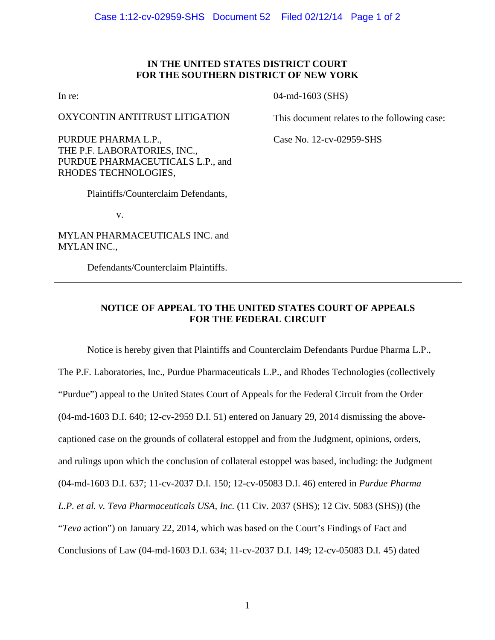## **IN THE UNITED STATES DISTRICT COURT FOR THE SOUTHERN DISTRICT OF NEW YORK**

| In re:                                                                                                          | 04-md-1603 $(SHS)$                           |
|-----------------------------------------------------------------------------------------------------------------|----------------------------------------------|
| OXYCONTIN ANTITRUST LITIGATION                                                                                  | This document relates to the following case: |
| PURDUE PHARMA L.P.,<br>THE P.F. LABORATORIES, INC.,<br>PURDUE PHARMACEUTICALS L.P., and<br>RHODES TECHNOLOGIES, | Case No. 12-cv-02959-SHS                     |
| Plaintiffs/Counterclaim Defendants,                                                                             |                                              |
| V.                                                                                                              |                                              |
| MYLAN PHARMACEUTICALS INC. and<br><b>MYLAN INC.,</b>                                                            |                                              |
| Defendants/Counterclaim Plaintiffs.                                                                             |                                              |

## **NOTICE OF APPEAL TO THE UNITED STATES COURT OF APPEALS FOR THE FEDERAL CIRCUIT**

Notice is hereby given that Plaintiffs and Counterclaim Defendants Purdue Pharma L.P., The P.F. Laboratories, Inc., Purdue Pharmaceuticals L.P., and Rhodes Technologies (collectively "Purdue") appeal to the United States Court of Appeals for the Federal Circuit from the Order (04-md-1603 D.I. 640; 12-cv-2959 D.I. 51) entered on January 29, 2014 dismissing the abovecaptioned case on the grounds of collateral estoppel and from the Judgment, opinions, orders, and rulings upon which the conclusion of collateral estoppel was based, including: the Judgment (04-md-1603 D.I. 637; 11-cv-2037 D.I. 150; 12-cv-05083 D.I. 46) entered in *Purdue Pharma L.P. et al. v. Teva Pharmaceuticals USA, Inc.* (11 Civ. 2037 (SHS); 12 Civ. 5083 (SHS)) (the "*Teva* action") on January 22, 2014, which was based on the Court's Findings of Fact and Conclusions of Law (04-md-1603 D.I. 634; 11-cv-2037 D.I. 149; 12-cv-05083 D.I. 45) dated